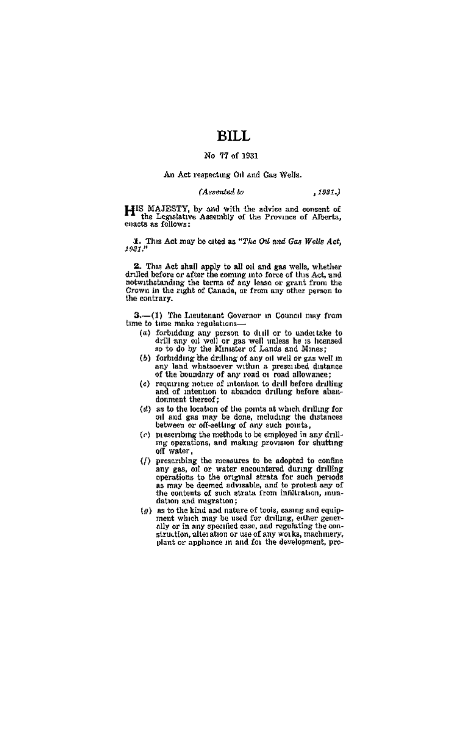# BILL.

## No. 77 of 1931

### An Act respecting Oil and Gas Wells.

#### (Assented to  $.1931.$

HIS MAJESTY, by and with the advice and consent of the Legislative Assembly of the Province of Alberta, enacts on follower

3. This Act may be oited as "The Oil and Gas Wells Act,  $1931$ ."

2. This Act shall apply to all oli and gas wells, whether<br>drilled before or after the coming into force of this Act, and<br>notwithstanding the terms of any lease or grant from the Crown in the right of Canada, or from any other person to the contrary.

3.-(1) The Lieutenant Governor in Council may from time to time make penilations.

- (a) forbidding any person to dull or to undertake to drill any oil well or gas well unless he is homeed so to do by the Minister of Lands and Mines;
- (b) forbidding the drilling of any oil well or gas well m say land whatsoever within a prescribed distance of the boundary of any road or road allowance;
- of the boundary of intention to drill before drilling<br>and of intention to abandon drilling before abandonment thereof:
- (d) as to the location of the points at which drilling for oil and gas may be done, including the distances between or off-setting of any such points.
- (c) prescribing the methods to be employed in any drillme operations, and making provision for shutting off water,
- (/) prescribing the measures to be adopted to confine<br>any gas, oil or water encountered during drilling any gas, on or water encounterbal uning unung<br>operations to the original strata for such periods<br>as may be deemed advisable, and to protect any of<br>the contents of such strata from infilication, nundation and migration;
- $\{\varrho\}$  as to the kind and nature of tools, casing and equipment which may be used for drilling, either generally or in any specified case, and regulating the construction, alteration or use of any works, machmery, plant or annimos in and for the development, pro-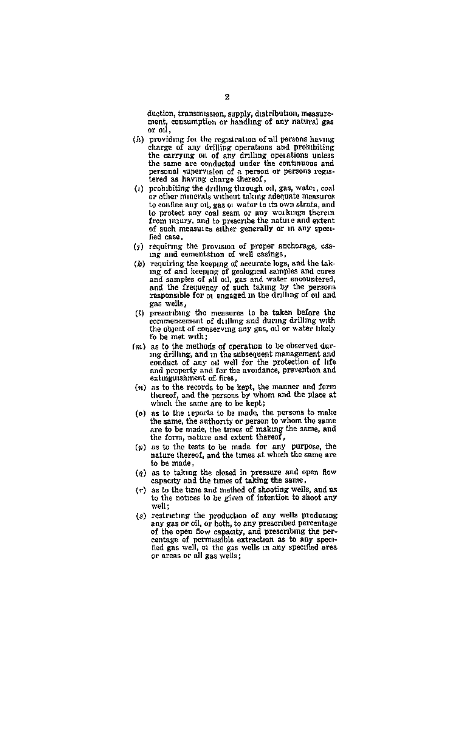duction, transmission, supply, distribution, measure-<br>need, consumption or handing of any natural gas or oil.

- (h) providing for the registration of all persons having charge of any drilling operations and probibiting the carrying on of any drilling operations unless the same are conducted under the continuous and personal supervision of a person or persons registered as having charge thereof,
- (1) probibiting the drilling through oil, gas, water, coal or other minerals without taking adequate measures to confine any oil, gas or water to its own strats, and to protect any coal seam or any workings therein from mury, and to preseribe the nature and extent of such measures either generally or in any specified case.
- (2) requiring the provision of proper anchorage, casing and comentation of well casings.
- ing said counteraction in well consider the sequence of grading the keeping of securitie logs, and the taking of and keeping of grading samples and corresponding the and camples of all oil, gas and water escountered, and t gas wells.
- (3) prescribing the measures to be taken before the commencement of dulling and during drilling with the object of conserving any gas, oil or water likely to be mot with:
- (m) as to the methods of operation to be observed during drilling, and in the subsequent management and conduct of any oil well for the protection of life and property and for the avoidance, prevention and extinguishment of fires,
- $(n)$  as to the records to be kept, the manner and form thereof, and the persons by whom and the place at which the same are to be kept;
- (o) as to the reports to be made, the persons to make the same, the authority or person to whom the same are to be made, the times of making the same, and the form, nature and extent thereof,
- $(p)$  as to the teats to be made for any purpose, the nature thereof, and the times at which the same are to be made.
- (e) as to taking the closed in pressure and open flow capacity and the times of taking the same.
- (r) as to the tune and method of shooting wells, and as to the notices to be given of intention to shoot any well:
- weat;<br>
reading the production of any wells producing<br>
any gas or cil, or both, to any prescribed percentage<br>
of the open flow capacity, and prescribing the per-<br>
centage of permissible extraction as to any specified<br>
gas w or areas or all gas wells: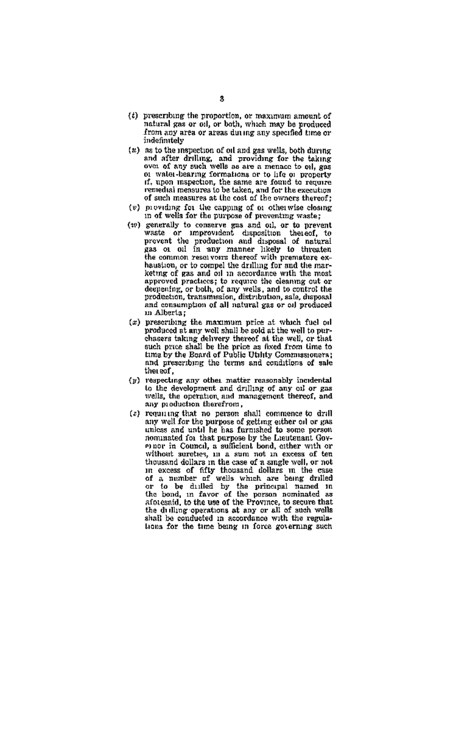- $(t)$  prescribing the proportion, or maximum amount of natural gas or oil, or bath, which may be produced indefinitely
- (g) as to the inspection of oil and gas wells, both during and after drilling, and providing for the taking over of any such wells as are a menace to oil, gas over or any such were so are a secure or engineerly if, upon inspection, the same are found to require remedial measures to be taken, and for the execution of such measures at the cost of the owners thereof:
- (v) providing for the capping of or otherwise closing in of wells for the purpose of preventing traster
- In our weak are to a grapped on provening was set of the generally to conserve gas and oil, or to prevent<br>waste or improvided, taposition theosef, to<br>provent the production and disposal of natural<br>gas on oil in any manner heustion, or to compel the drilling for such the mar-<br>ketnig of is compel the drilling for such the masapproved practices; to require the eleannic out or deepening, or both, of any wells, and to control the<br>production, transmission, distribution, sale, disposal and consumption of all natural gas or oil produced in Albertan
- (x) prescribing the maximum price at which fuel oil produced at any well shall be sold at the well to purproduced at any wen amon we seen as the well, or that<br>chasers taking delivery thereof at the well, or that<br>such price shall be the price as fixed from time to time by the Board of Public Utility Commissioners: and prescribing the terms and conditions of sale the sof.
- (y) respecting any other matter reasonably incidental to the development and driling of any of or gas<br>wells, the operation and driling of any of or gas any production therefrom,
- (z) requiring that no person shall commence to drill<br>any well for the purpose of getting either oil or gas utiless and until he has furnished to some person nominated for that purpose by the Lieutenant Govwithout suretees, in a sum not in excess of ten thousand dollars in the case of a single well, or not<br>in excess of fifty thousand dollars in the case<br>of a number of wells which are being drilled of a number of wells which are being drilled<br>or to be duilled by the principal named in<br>the bond, in favor of the person nominated as aforesaid, to the use of the Province, to secure that the dulling operations at any or all of such wells shall be conducted in accordance with the regula-<br>shall be conducted in accordance with the regula-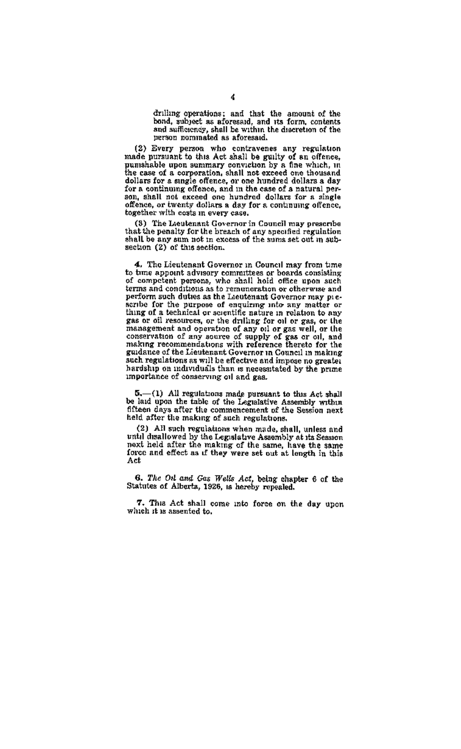drilling operations; and that the amount of the<br>bond, subject as aforesaid, and its form, contents<br>and sufficiency, shall be within the discretion of the person nominated as aforesaid.

(2) Every person who contravenes any regulation<br>made pursuant to this Act shall be guilty of an offence,<br>pushable upon summary conviction by a fine which, in<br>the esse of a pussessore upon summary conviction by a line which, in<br>the case of a corporation, shall not exceed one thousand<br>dollars for a single offence, or one hundred dollars a day<br>for a continuing offence, and in the case of a natu son, shall not exceed one hundred dollars for a single offence, or twenty dollars a day for a continuing offence, together with costs in every case.

(8) The Lieutenant Governor in Council may prescribe<br>that the pensity for the breach of any specified regulation<br>shall be any sum not in excess of the sums set out in authsection (2) of this section.

4. The Lieutenant Governor in Council may from time of the appoint advisory committees or beard consisting<br>of competent persons, who shall hold office upon such<br>terms and conditions as to remuneration or otherwise and perform such duties as the Lieutenant Governor may prescribe for the purpose of enquiring into any matter or<br>thing of a technical or scientific nature in relation to any gas or oil resources, or the drilling for oil or gas, or the gas or on resources, or one critical pays or on or gas, or the<br>conservation of any source of supply of gas or oil, and<br>conservation of any source of supply of gas or oil, and<br>making recommendations with reference thereto f such regulations as will be effective and impose no greater hardship on individuals than is necessitated by the prime importance of conserving oil and gas.

 $5.$  (1) All regulations made pursuant to this Act shall<br>be laid upon the table of the Legislative Assembly within<br>fifteen days after the commencement of the Session next held after the making of such regulations.

(2) All such regulations when made, shall, unless and<br>until disallowed by the Legislative Assembly at its Session next held after the making of the same, have the same force and effect as if they were set out at length in this Art

6. The Oil and Gas Wells Act, being chapter 6 of the Statutes of Alberta, 1926, is hereby repealed.

7. This Act shall come into force on the day upon which it is assented to.